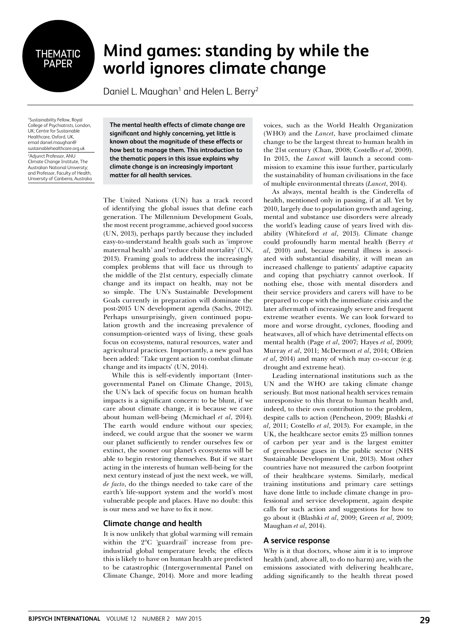# THEMATIC PAPER

## **Mind games: standing by while the world ignores climate change**

Daniel L. Maughan<sup>1</sup> and Helen L. Berry<sup>2</sup>

1 Sustainability Fellow, Royal College of Psychiatrists, London, UK; Centre for Sustainable Healthcare, Oxford, UK, email daniel.maughan@ sustainablehealthcare.org.uk 2 Adjunct Professor, ANU Climate Change Institute, The Australian National University; and Professor, Faculty of Health, University of Canberra, Australia

**The mental health effects of climate change are significant and highly concerning, yet little is known about the magnitude of these effects or how best to manage them. This introduction to the thematic papers in this issue explains why climate change is an increasingly important matter for all health services.**

The United Nations (UN) has a track record of identifying the global issues that define each generation. The Millennium Development Goals, the most recent programme, achieved good success (UN, 2013), perhaps partly because they included easy-to-understand health goals such as 'improve maternal health' and 'reduce child mortality' (UN, 2013). Framing goals to address the increasingly complex problems that will face us through to the middle of the 21st century, especially climate change and its impact on health, may not be so simple. The UN's Sustainable Development Goals currently in preparation will dominate the post-2015 UN development agenda (Sachs, 2012). Perhaps unsurprisingly, given continued population growth and the increasing prevalence of consumption-oriented ways of living, these goals focus on ecosystems, natural resources, water and agricultural practices. Importantly, a new goal has been added: 'Take urgent action to combat climate change and its impacts' (UN, 2014).

While this is self-evidently important (Intergovernmental Panel on Climate Change, 2013), the UN's lack of specific focus on human health impacts is a significant concern: to be blunt, if we care about climate change, it is because we care about human well-being (Mcmichael *et al*, 2014). The earth would endure without our species; indeed, we could argue that the sooner we warm our planet sufficiently to render ourselves few or extinct, the sooner our planet's ecosystems will be able to begin restoring themselves. But if we start acting in the interests of human well-being for the next century instead of just the next week, we will, *de facto*, do the things needed to take care of the earth's life-support system and the world's most vulnerable people and places. Have no doubt: this is our mess and we have to fix it now.

### **Climate change and health**

It is now unlikely that global warming will remain within the 2°C 'guardrail' increase from preindustrial global temperature levels; the effects this is likely to have on human health are predicted to be catastrophic (Intergovernmental Panel on Climate Change, 2014). More and more leading voices, such as the World Health Organization (WHO) and the *Lancet*, have proclaimed climate change to be the largest threat to human health in the 21st century (Chan, 2008; Costello *et al*, 2009). In 2015, the *Lancet* will launch a second commission to examine this issue further, particularly the sustainability of human civilisations in the face of multiple environmental threats (*Lancet*, 2014).

As always, mental health is the Cinderella of health, mentioned only in passing, if at all. Yet by 2010, largely due to population growth and ageing, mental and substance use disorders were already the world's leading cause of years lived with disability (Whiteford *et al*, 2013). Climate change could profoundly harm mental health (Berry *et al*, 2010) and, because mental illness is associated with substantial disability, it will mean an increased challenge to patients' adaptive capacity and coping that psychiatry cannot overlook. If nothing else, those with mental disorders and their service providers and carers will have to be prepared to cope with the immediate crisis and the later aftermath of increasingly severe and frequent extreme weather events. We can look forward to more and worse drought, cyclones, flooding and heatwaves, all of which have detrimental effects on mental health (Page *et al*, 2007; Hayes *et al*, 2009; Murray *et al*, 2011; McDermott *et al*, 2014; OBrien *et al*, 2014) and many of which may co-occur (e.g. drought and extreme heat).

Leading international institutions such as the UN and the WHO are taking climate change seriously. But most national health services remain unresponsive to this threat to human health and, indeed, to their own contribution to the problem, despite calls to action (Pencheon, 2009; Blashki *et al*, 2011; Costello *et al*, 2013). For example, in the UK, the healthcare sector emits 25 million tonnes of carbon per year and is the largest emitter of greenhouse gases in the public sector (NHS Sustainable Development Unit, 2013). Most other countries have not measured the carbon footprint of their healthcare systems. Similarly, medical training institutions and primary care settings have done little to include climate change in professional and service development, again despite calls for such action and suggestions for how to go about it (Blashki *et al*, 2009; Green *et al*, 2009; Maughan *et al*, 2014).

#### **A service response**

Why is it that doctors, whose aim it is to improve health (and, above all, to do no harm) are, with the emissions associated with delivering healthcare, adding significantly to the health threat posed